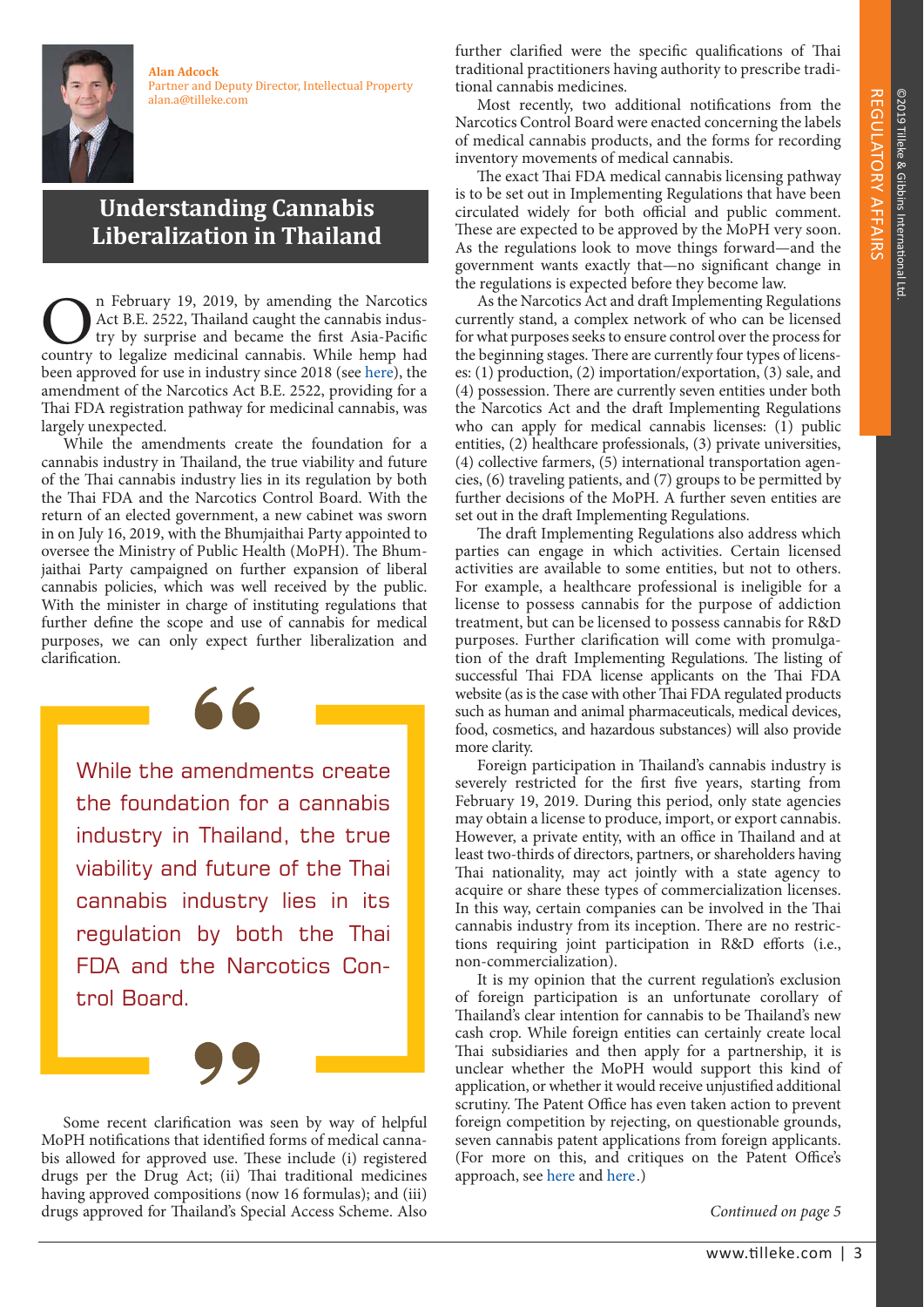**Alan Adcock** Partner and Deputy Director, Intellectual Property alan.a@tilleke.com

## **Understanding Cannabis Liberalization in Thailand**

n February 19, 2019, by amending the Narcotics Act B.E. 2522, Thailand caught the cannabis industry by surprise and became the first Asia-Pacific **Country 19, 2019, by amending the Narcotics**<br>Act B.E. 2522, Thailand caught the cannabis indus-<br>try by surprise and became the first Asia-Pacific<br>country to legalize medicinal cannabis. While hemp had been approved for use in industry since 2018 (see [here\)](https://www.tilleke.com/resources/growing-hemp-thailand-now-permissible), the amendment of the Narcotics Act B.E. 2522, providing for a Thai FDA registration pathway for medicinal cannabis, was largely unexpected.

 While the amendments create the foundation for a cannabis industry in Thailand, the true viability and future of the Thai cannabis industry lies in its regulation by both the Thai FDA and the Narcotics Control Board. With the return of an elected government, a new cabinet was sworn in on July 16, 2019, with the Bhumjaithai Party appointed to oversee the Ministry of Public Health (MoPH). The Bhumjaithai Party campaigned on further expansion of liberal cannabis policies, which was well received by the public. With the minister in charge of instituting regulations that further define the scope and use of cannabis for medical purposes, we can only expect further liberalization and clarification.

While the amendments create the foundation for a cannabis industry in Thailand, the true viability and future of the Thai cannabis industry lies in its regulation by both the Thai FDA and the Narcotics Control Board.



 Some recent clarification was seen by way of helpful MoPH notifications that identified forms of medical cannabis allowed for approved use. These include (i) registered drugs per the Drug Act; (ii) Thai traditional medicines having approved compositions (now 16 formulas); and (iii) drugs approved for Thailand's Special Access Scheme. Also

further clarified were the specific qualifications of Thai traditional practitioners having authority to prescribe traditional cannabis medicines.

 Most recently, two additional notifications from the Narcotics Control Board were enacted concerning the labels of medical cannabis products, and the forms for recording inventory movements of medical cannabis.

 The exact Thai FDA medical cannabis licensing pathway is to be set out in Implementing Regulations that have been circulated widely for both official and public comment. These are expected to be approved by the MoPH very soon. As the regulations look to move things forward—and the government wants exactly that—no significant change in the regulations is expected before they become law.

 As the Narcotics Act and draft Implementing Regulations currently stand, a complex network of who can be licensed for what purposes seeks to ensure control over the process for the beginning stages. There are currently four types of licenses: (1) production, (2) importation/exportation, (3) sale, and (4) possession. There are currently seven entities under both the Narcotics Act and the draft Implementing Regulations who can apply for medical cannabis licenses: (1) public entities, (2) healthcare professionals, (3) private universities, (4) collective farmers, (5) international transportation agencies, (6) traveling patients, and (7) groups to be permitted by further decisions of the MoPH. A further seven entities are set out in the draft Implementing Regulations.

The draft Implementing Regulations also address which parties can engage in which activities. Certain licensed activities are available to some entities, but not to others. For example, a healthcare professional is ineligible for a license to possess cannabis for the purpose of addiction treatment, but can be licensed to possess cannabis for R&D purposes. Further clarification will come with promulgation of the draft Implementing Regulations. The listing of successful Thai FDA license applicants on the Thai FDA website (as is the case with other Thai FDA regulated products such as human and animal pharmaceuticals, medical devices, food, cosmetics, and hazardous substances) will also provide more clarity.

Foreign participation in Thailand's cannabis industry is severely restricted for the first five years, starting from February 19, 2019. During this period, only state agencies may obtain a license to produce, import, or export cannabis. However, a private entity, with an office in Thailand and at least two-thirds of directors, partners, or shareholders having Thai nationality, may act jointly with a state agency to acquire or share these types of commercialization licenses. In this way, certain companies can be involved in the Thai cannabis industry from its inception. There are no restrictions requiring joint participation in R&D efforts (i.e., non-commercialization).

It is my opinion that the current regulation's exclusion of foreign participation is an unfortunate corollary of Thailand's clear intention for cannabis to be Thailand's new cash crop. While foreign entities can certainly create local Thai subsidiaries and then apply for a partnership, it is unclear whether the MoPH would support this kind of application, or whether it would receive unjustified additional scrutiny. The Patent Office has even taken action to prevent foreign competition by rejecting, on questionable grounds, seven cannabis patent applications from foreign applicants. (For more on this, and critiques on the Patent Office's approach, see [here](https://www.tilleke.com/resources/thailand%E2%80%99s-patent-office-granted-power-strike-out-cannabinoid-patents) and [here](https://www.tilleke.com/resources/clearing-air-cannabis-patents).)

Continued on page 5